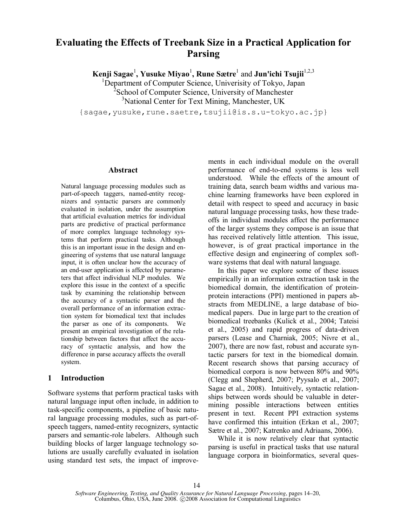# **Evaluating the Effects of Treebank Size in a Practical Application for Parsing**

 $\mathbf{Kenji}\ \mathbf{Sagae}^{1},\ \mathbf{Yusuke}\ \mathbf{Miyao}^{1},\ \mathbf{Rune}\ \mathbf{Sætre}^{1}$  and  $\mathbf{Jun'ichi}\ \mathbf{Tsujii}^{1,2,3}$ 

<sup>1</sup>Department of Computer Science, Univerisity of Tokyo, Japan <sup>2</sup> School of Computer Science, University of Manchester <sup>3</sup>National Center for Text Mining, Manchester, UK

{sagae,yusuke,rune.saetre,tsujii@is.s.u-tokyo.ac.jp}

#### **Abstract**

Natural language processing modules such as part-of-speech taggers, named-entity recognizers and syntactic parsers are commonly evaluated in isolation, under the assumption that artificial evaluation metrics for individual parts are predictive of practical performance of more complex language technology systems that perform practical tasks. Although this is an important issue in the design and engineering of systems that use natural language input, it is often unclear how the accuracy of an end-user application is affected by parameters that affect individual NLP modules. We explore this issue in the context of a specific task by examining the relationship between the accuracy of a syntactic parser and the overall performance of an information extraction system for biomedical text that includes the parser as one of its components. We present an empirical investigation of the relationship between factors that affect the accuracy of syntactic analysis, and how the difference in parse accuracy affects the overall system.

## **1 Introduction**

Software systems that perform practical tasks with natural language input often include, in addition to task-specific components, a pipeline of basic natural language processing modules, such as part-ofspeech taggers, named-entity recognizers, syntactic parsers and semantic-role labelers. Although such building blocks of larger language technology solutions are usually carefully evaluated in isolation using standard test sets, the impact of improvements in each individual module on the overall performance of end-to-end systems is less well understood. While the effects of the amount of training data, search beam widths and various machine learning frameworks have been explored in detail with respect to speed and accuracy in basic natural language processing tasks, how these tradeoffs in individual modules affect the performance of the larger systems they compose is an issue that has received relatively little attention. This issue, however, is of great practical importance in the effective design and engineering of complex software systems that deal with natural language.

In this paper we explore some of these issues empirically in an information extraction task in the biomedical domain, the identification of proteinprotein interactions (PPI) mentioned in papers abstracts from MEDLINE, a large database of biomedical papers. Due in large part to the creation of biomedical treebanks (Kulick et al., 2004; Tateisi et al., 2005) and rapid progress of data-driven parsers (Lease and Charniak, 2005; Nivre et al., 2007), there are now fast, robust and accurate syntactic parsers for text in the biomedical domain. Recent research shows that parsing accuracy of biomedical corpora is now between 80% and 90% (Clegg and Shepherd, 2007; Pyysalo et al., 2007; Sagae et al., 2008). Intuitively, syntactic relationships between words should be valuable in determining possible interactions between entities present in text. Recent PPI extraction systems have confirmed this intuition (Erkan et al., 2007; Sætre et al., 2007; Katrenko and Adriaans, 2006).

While it is now relatively clear that syntactic parsing is useful in practical tasks that use natural language corpora in bioinformatics, several ques-

*Software Engineering, Testing, and Quality Assurance for Natural Language Processing*, pages 14–20, Columbus, Ohio, USA, June 2008. C2008 Association for Computational Linguistics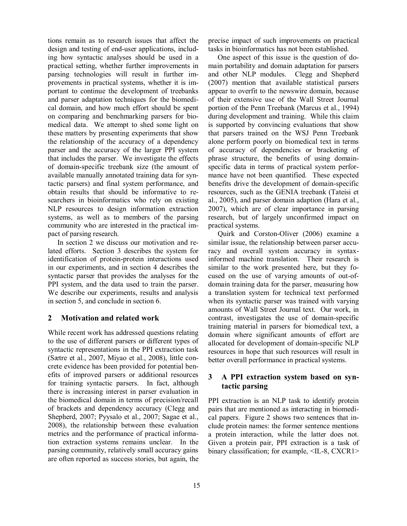tions remain as to research issues that affect the design and testing of end-user applications, including how syntactic analyses should be used in a practical setting, whether further improvements in parsing technologies will result in further improvements in practical systems, whether it is important to continue the development of treebanks and parser adaptation techniques for the biomedical domain, and how much effort should be spent on comparing and benchmarking parsers for biomedical data. We attempt to shed some light on these matters by presenting experiments that show the relationship of the accuracy of a dependency parser and the accuracy of the larger PPI system that includes the parser. We investigate the effects of domain-specific treebank size (the amount of available manually annotated training data for syntactic parsers) and final system performance, and obtain results that should be informative to researchers in bioinformatics who rely on existing NLP resources to design information extraction systems, as well as to members of the parsing community who are interested in the practical impact of parsing research.

In section 2 we discuss our motivation and related efforts. Section 3 describes the system for identification of protein-protein interactions used in our experiments, and in section 4 describes the syntactic parser that provides the analyses for the PPI system, and the data used to train the parser. We describe our experiments, results and analysis in section 5, and conclude in section 6.

## **2 Motivation and related work**

While recent work has addressed questions relating to the use of different parsers or different types of syntactic representations in the PPI extraction task (Sætre et al., 2007, Miyao et al., 2008), little concrete evidence has been provided for potential benefits of improved parsers or additional resources for training syntactic parsers. In fact, although there is increasing interest in parser evaluation in the biomedical domain in terms of precision/recall of brackets and dependency accuracy (Clegg and Shepherd, 2007; Pyysalo et al., 2007; Sagae et al., 2008), the relationship between these evaluation metrics and the performance of practical information extraction systems remains unclear. In the parsing community, relatively small accuracy gains are often reported as success stories, but again, the precise impact of such improvements on practical tasks in bioinformatics has not been established.

One aspect of this issue is the question of domain portability and domain adaptation for parsers and other NLP modules. Clegg and Shepherd (2007) mention that available statistical parsers appear to overfit to the newswire domain, because of their extensive use of the Wall Street Journal portion of the Penn Treebank (Marcus et al., 1994) during development and training. While this claim is supported by convincing evaluations that show that parsers trained on the WSJ Penn Treebank alone perform poorly on biomedical text in terms of accuracy of dependencies or bracketing of phrase structure, the benefits of using domainspecific data in terms of practical system performance have not been quantified. These expected benefits drive the development of domain-specific resources, such as the GENIA treebank (Tateisi et al., 2005), and parser domain adaption (Hara et al., 2007), which are of clear importance in parsing research, but of largely unconfirmed impact on practical systems.

Quirk and Corston-Oliver (2006) examine a similar issue, the relationship between parser accuracy and overall system accuracy in syntaxinformed machine translation. Their research is similar to the work presented here, but they focused on the use of varying amounts of out-ofdomain training data for the parser, measuring how a translation system for technical text performed when its syntactic parser was trained with varying amounts of Wall Street Journal text. Our work, in contrast, investigates the use of domain-specific training material in parsers for biomedical text, a domain where significant amounts of effort are allocated for development of domain-specific NLP resources in hope that such resources will result in better overall performance in practical systems.

## **3 A PPI extraction system based on syntactic parsing**

PPI extraction is an NLP task to identify protein pairs that are mentioned as interacting in biomedical papers. Figure 2 shows two sentences that include protein names: the former sentence mentions a protein interaction, while the latter does not. Given a protein pair, PPI extraction is a task of binary classification; for example, <IL-8, CXCR1>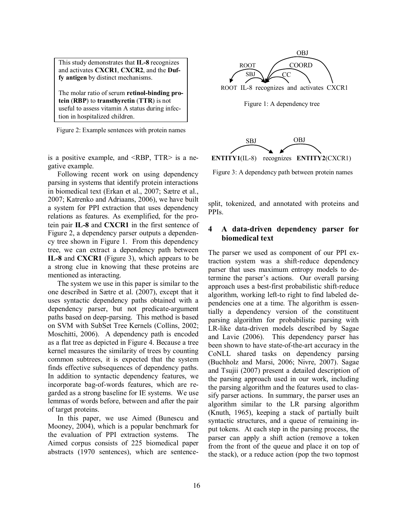This study demonstrates that **IL-8** recognizes and activates **CXCR1**, **CXCR2**, and the **Duffy antigen** by distinct mechanisms.

The molar ratio of serum **retinol-binding protein** (**RBP**) to **transthyretin** (**TTR**) is not useful to assess vitamin A status during infection in hospitalized children.

Figure 2: Example sentences with protein names

is a positive example, and <RBP, TTR> is a negative example.

Following recent work on using dependency parsing in systems that identify protein interactions in biomedical text (Erkan et al., 2007; Sætre et al., 2007; Katrenko and Adriaans, 2006), we have built a system for PPI extraction that uses dependency relations as features. As exemplified, for the protein pair **IL-8** and **CXCR1** in the first sentence of Figure 2, a dependency parser outputs a dependency tree shown in Figure 1. From this dependency tree, we can extract a dependency path between **IL-8** and **CXCR1** (Figure 3), which appears to be a strong clue in knowing that these proteins are mentioned as interacting.

The system we use in this paper is similar to the one described in Sætre et al. (2007), except that it uses syntactic dependency paths obtained with a dependency parser, but not predicate-argument paths based on deep-parsing. This method is based on SVM with SubSet Tree Kernels (Collins, 2002; Moschitti, 2006). A dependency path is encoded as a flat tree as depicted in Figure 4. Because a tree kernel measures the similarity of trees by counting common subtrees, it is expected that the system finds effective subsequences of dependency paths. In addition to syntactic dependency features, we incorporate bag-of-words features, which are regarded as a strong baseline for IE systems. We use lemmas of words before, between and after the pair of target proteins.

In this paper, we use Aimed (Bunescu and Mooney, 2004), which is a popular benchmark for the evaluation of PPI extraction systems. The Aimed corpus consists of 225 biomedical paper abstracts (1970 sentences), which are sentence-





Figure 3: A dependency path between protein names

split, tokenized, and annotated with proteins and PPIs.

## **4 A data-driven dependency parser for biomedical text**

The parser we used as component of our PPI extraction system was a shift-reduce dependency parser that uses maximum entropy models to determine the parser's actions. Our overall parsing approach uses a best-first probabilistic shift-reduce algorithm, working left-to right to find labeled dependencies one at a time. The algorithm is essentially a dependency version of the constituent parsing algorithm for probabilistic parsing with LR-like data-driven models described by Sagae and Lavie (2006). This dependency parser has been shown to have state-of-the-art accuracy in the CoNLL shared tasks on dependency parsing (Buchholz and Marsi, 2006; Nivre, 2007). Sagae and Tsujii (2007) present a detailed description of the parsing approach used in our work, including the parsing algorithm and the features used to classify parser actions. In summary, the parser uses an algorithm similar to the LR parsing algorithm (Knuth, 1965), keeping a stack of partially built syntactic structures, and a queue of remaining input tokens. At each step in the parsing process, the parser can apply a shift action (remove a token from the front of the queue and place it on top of the stack), or a reduce action (pop the two topmost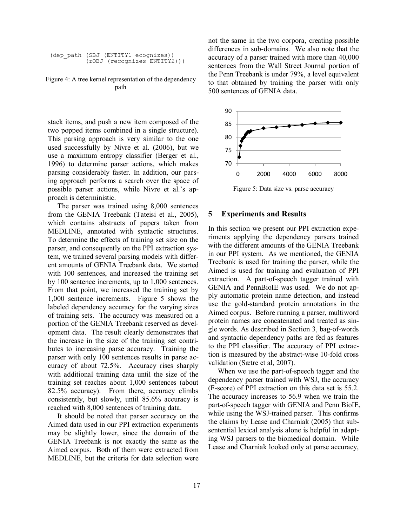```
(dep_path (SBJ (ENTITY1 ecognizes))
(rOBJ (recognizes ENTITY2)))
```
Figure 4: A tree kernel representation of the dependency path

stack items, and push a new item composed of the two popped items combined in a single structure). This parsing approach is very similar to the one used successfully by Nivre et al. (2006), but we use a maximum entropy classifier (Berger et al., 1996) to determine parser actions, which makes parsing considerably faster. In addition, our parsing approach performs a search over the space of possible parser actions, while Nivre et al.'s approach is deterministic.

The parser was trained using 8,000 sentences from the GENIA Treebank (Tateisi et al., 2005), which contains abstracts of papers taken from MEDLINE, annotated with syntactic structures. To determine the effects of training set size on the parser, and consequently on the PPI extraction system, we trained several parsing models with different amounts of GENIA Treebank data. We started with 100 sentences, and increased the training set by 100 sentence increments, up to 1,000 sentences. From that point, we increased the training set by 1,000 sentence increments. Figure 5 shows the labeled dependency accuracy for the varying sizes of training sets. The accuracy was measured on a portion of the GENIA Treebank reserved as development data. The result clearly demonstrates that the increase in the size of the training set contributes to increasing parse accuracy. Training the parser with only 100 sentences results in parse accuracy of about 72.5%. Accuracy rises sharply with additional training data until the size of the training set reaches about 1,000 sentences (about 82.5% accuracy). From there, accuracy climbs consistently, but slowly, until 85.6% accuracy is reached with 8,000 sentences of training data.

It should be noted that parser accuracy on the Aimed data used in our PPI extraction experiments may be slightly lower, since the domain of the GENIA Treebank is not exactly the same as the Aimed corpus. Both of them were extracted from MEDLINE, but the criteria for data selection were not the same in the two corpora, creating possible differences in sub-domains. We also note that the accuracy of a parser trained with more than 40,000 sentences from the Wall Street Journal portion of the Penn Treebank is under 79%, a level equivalent to that obtained by training the parser with only 500 sentences of GENIA data.



Figure 5: Data size vs. parse accuracy

#### **5 Experiments and Results**

In this section we present our PPI extraction experiments applying the dependency parsers trained with the different amounts of the GENIA Treebank in our PPI system. As we mentioned, the GENIA Treebank is used for training the parser, while the Aimed is used for training and evaluation of PPI extraction. A part-of-speech tagger trained with GENIA and PennBioIE was used. We do not apply automatic protein name detection, and instead use the gold-standard protein annotations in the Aimed corpus. Before running a parser, multiword protein names are concatenated and treated as single words. As described in Section 3, bag-of-words and syntactic dependency paths are fed as features to the PPI classifier. The accuracy of PPI extraction is measured by the abstract-wise 10-fold cross validation (Sætre et al, 2007).

When we use the part-of-speech tagger and the dependency parser trained with WSJ, the accuracy (F-score) of PPI extraction on this data set is 55.2. The accuracy increases to 56.9 when we train the part-of-speech tagger with GENIA and Penn BioIE, while using the WSJ-trained parser. This confirms the claims by Lease and Charniak (2005) that subsentential lexical analysis alone is helpful in adapting WSJ parsers to the biomedical domain. While Lease and Charniak looked only at parse accuracy,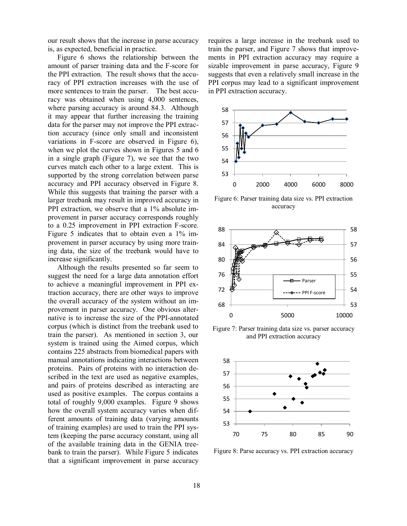our result shows that the increase in parse accuracy is, as expected, beneficial in practice.

Figure 6 shows the relationship between the amount of parser training data and the F-score for the PPI extraction. The result shows that the accuracy of PPI extraction increases with the use of more sentences to train the parser. The best accuracy was obtained when using 4,000 sentences, where parsing accuracy is around 84.3. Although it may appear that further increasing the training data for the parser may not improve the PPI extraction accuracy (since only small and inconsistent variations in F-score are observed in Figure 6), when we plot the curves shown in Figures 5 and 6 in a single graph (Figure 7), we see that the two curves match each other to a large extent. This is supported by the strong correlation between parse accuracy and PPI accuracy observed in Figure 8. While this suggests that training the parser with a larger treebank may result in improved accuracy in PPI extraction, we observe that a 1% absolute improvement in parser accuracy corresponds roughly to a 0.25 improvement in PPI extraction F-score. Figure 5 indicates that to obtain even a 1% improvement in parser accuracy by using more training data, the size of the treebank would have to increase significantly.

Although the results presented so far seem to suggest the need for a large data annotation effort to achieve a meaningful improvement in PPI extraction accuracy, there are other ways to improve the overall accuracy of the system without an improvement in parser accuracy. One obvious alternative is to increase the size of the PPI-annotated corpus (which is distinct from the treebank used to train the parser). As mentioned in section 3, our system is trained using the Aimed corpus, which contains 225 abstracts from biomedical papers with manual annotations indicating interactions between proteins. Pairs of proteins with no interaction described in the text are used as negative examples, and pairs of proteins described as interacting are used as positive examples. The corpus contains a total of roughly 9,000 examples. Figure 9 shows how the overall system accuracy varies when different amounts of training data (varying amounts of training examples) are used to train the PPI system (keeping the parse accuracy constant, using all of the available training data in the GENIA treebank to train the parser). While Figure 5 indicates that a significant improvement in parse accuracy requires a large increase in the treebank used to train the parser, and Figure 7 shows that improvements in PPI extraction accuracy may require a sizable improvement in parse accuracy, Figure 9 suggests that even a relatively small increase in the PPI corpus may lead to a significant improvement in PPI extraction accuracy.



Figure 6: Parser training data size vs. PPI extraction accuracy



Figure 7: Parser training data size vs. parser accuracy and PPI extraction accuracy



Figure 8: Parse accuracy vs. PPI extraction accuracy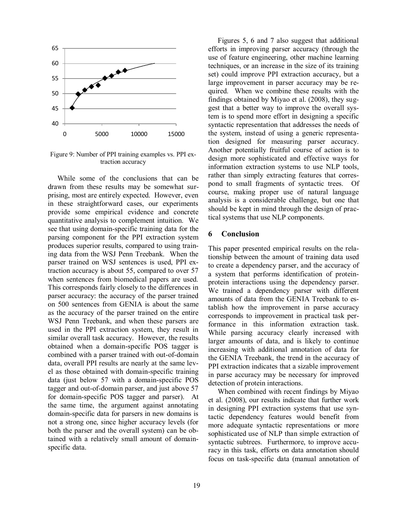

Figure 9: Number of PPI training examples vs. PPI extraction accuracy

While some of the conclusions that can be drawn from these results may be somewhat surprising, most are entirely expected. However, even in these straightforward cases, our experiments provide some empirical evidence and concrete quantitative analysis to complement intuition. We see that using domain-specific training data for the parsing component for the PPI extraction system produces superior results, compared to using training data from the WSJ Penn Treebank. When the parser trained on WSJ sentences is used, PPI extraction accuracy is about 55, compared to over 57 when sentences from biomedical papers are used. This corresponds fairly closely to the differences in parser accuracy: the accuracy of the parser trained on 500 sentences from GENIA is about the same as the accuracy of the parser trained on the entire WSJ Penn Treebank, and when these parsers are used in the PPI extraction system, they result in similar overall task accuracy. However, the results obtained when a domain-specific POS tagger is combined with a parser trained with out-of-domain data, overall PPI results are nearly at the same level as those obtained with domain-specific training data (just below 57 with a domain-specific POS tagger and out-of-domain parser, and just above 57 for domain-specific POS tagger and parser). At the same time, the argument against annotating domain-specific data for parsers in new domains is not a strong one, since higher accuracy levels (for both the parser and the overall system) can be obtained with a relatively small amount of domainspecific data.

Figures 5, 6 and 7 also suggest that additional efforts in improving parser accuracy (through the use of feature engineering, other machine learning techniques, or an increase in the size of its training set) could improve PPI extraction accuracy, but a large improvement in parser accuracy may be required. When we combine these results with the findings obtained by Miyao et al. (2008), they suggest that a better way to improve the overall system is to spend more effort in designing a specific syntactic representation that addresses the needs of the system, instead of using a generic representation designed for measuring parser accuracy. Another potentially fruitful course of action is to design more sophisticated and effective ways for information extraction systems to use NLP tools, rather than simply extracting features that correspond to small fragments of syntactic trees. Of course, making proper use of natural language analysis is a considerable challenge, but one that should be kept in mind through the design of practical systems that use NLP components.

#### **6 Conclusion**

This paper presented empirical results on the relationship between the amount of training data used to create a dependency parser, and the accuracy of a system that performs identification of proteinprotein interactions using the dependency parser. We trained a dependency parser with different amounts of data from the GENIA Treebank to establish how the improvement in parse accuracy corresponds to improvement in practical task performance in this information extraction task. While parsing accuracy clearly increased with larger amounts of data, and is likely to continue increasing with additional annotation of data for the GENIA Treebank, the trend in the accuracy of PPI extraction indicates that a sizable improvement in parse accuracy may be necessary for improved detection of protein interactions.

When combined with recent findings by Miyao et al. (2008), our results indicate that further work in designing PPI extraction systems that use syntactic dependency features would benefit from more adequate syntactic representations or more sophisticated use of NLP than simple extraction of syntactic subtrees. Furthermore, to improve accuracy in this task, efforts on data annotation should focus on task-specific data (manual annotation of